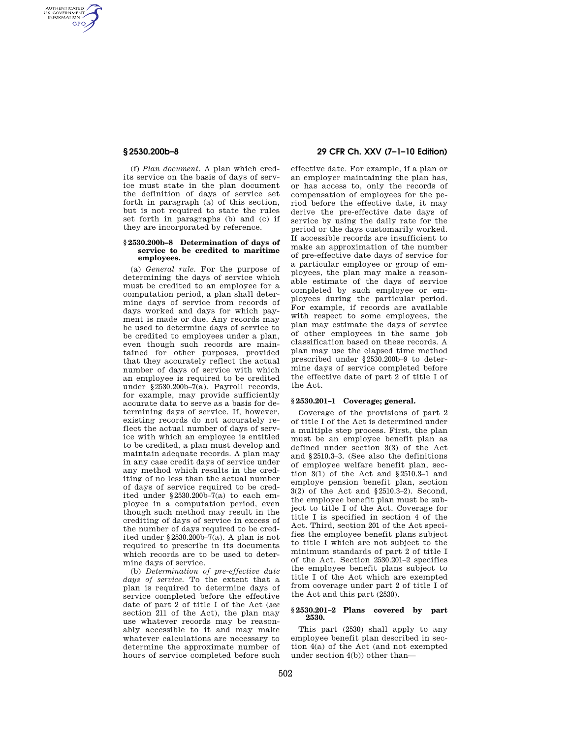AUTHENTICATED<br>U.S. GOVERNMENT<br>INFORMATION **GPO** 

> (f) *Plan document.* A plan which credits service on the basis of days of service must state in the plan document the definition of days of service set forth in paragraph (a) of this section, but is not required to state the rules set forth in paragraphs (b) and (c) if they are incorporated by reference.

#### **§ 2530.200b–8 Determination of days of service to be credited to maritime employees.**

(a) *General rule.* For the purpose of determining the days of service which must be credited to an employee for a computation period, a plan shall determine days of service from records of days worked and days for which payment is made or due. Any records may be used to determine days of service to be credited to employees under a plan, even though such records are maintained for other purposes, provided that they accurately reflect the actual number of days of service with which an employee is required to be credited under §2530.200b–7(a). Payroll records, for example, may provide sufficiently accurate data to serve as a basis for determining days of service. If, however, existing records do not accurately reflect the actual number of days of service with which an employee is entitled to be credited, a plan must develop and maintain adequate records. A plan may in any case credit days of service under any method which results in the crediting of no less than the actual number of days of service required to be credited under §2530.200b–7(a) to each employee in a computation period, even though such method may result in the crediting of days of service in excess of the number of days required to be credited under §2530.200b–7(a). A plan is not required to prescribe in its documents which records are to be used to determine days of service.

(b) *Determination of pre-effective date days of service.* To the extent that a plan is required to determine days of service completed before the effective date of part 2 of title I of the Act (*see*  section 211 of the Act), the plan may use whatever records may be reasonably accessible to it and may make whatever calculations are necessary to determine the approximate number of hours of service completed before such

# **§ 2530.200b–8 29 CFR Ch. XXV (7–1–10 Edition)**

effective date. For example, if a plan or an employer maintaining the plan has, or has access to, only the records of compensation of employees for the period before the effective date, it may derive the pre-effective date days of service by using the daily rate for the period or the days customarily worked. If accessible records are insufficient to make an approximation of the number of pre-effective date days of service for a particular employee or group of employees, the plan may make a reasonable estimate of the days of service completed by such employee or employees during the particular period. For example, if records are available with respect to some employees, the plan may estimate the days of service of other employees in the same job classification based on these records. A plan may use the elapsed time method prescribed under §2530.200b–9 to determine days of service completed before the effective date of part 2 of title I of the Act.

### **§ 2530.201–1 Coverage; general.**

Coverage of the provisions of part 2 of title I of the Act is determined under a multiple step process. First, the plan must be an employee benefit plan as defined under section 3(3) of the Act and §2510.3–3. (See also the definitions of employee welfare benefit plan, section 3(1) of the Act and §2510.3–1 and employe pension benefit plan, section 3(2) of the Act and §2510.3–2). Second, the employee benefit plan must be subject to title I of the Act. Coverage for title I is specified in section 4 of the Act. Third, section 201 of the Act specifies the employee benefit plans subject to title I which are not subject to the minimum standards of part 2 of title I of the Act. Section 2530.201–2 specifies the employee benefit plans subject to title I of the Act which are exempted from coverage under part 2 of title I of the Act and this part (2530).

#### **§ 2530.201–2 Plans covered by part 2530.**

This part (2530) shall apply to any employee benefit plan described in section 4(a) of the Act (and not exempted under section 4(b)) other than—